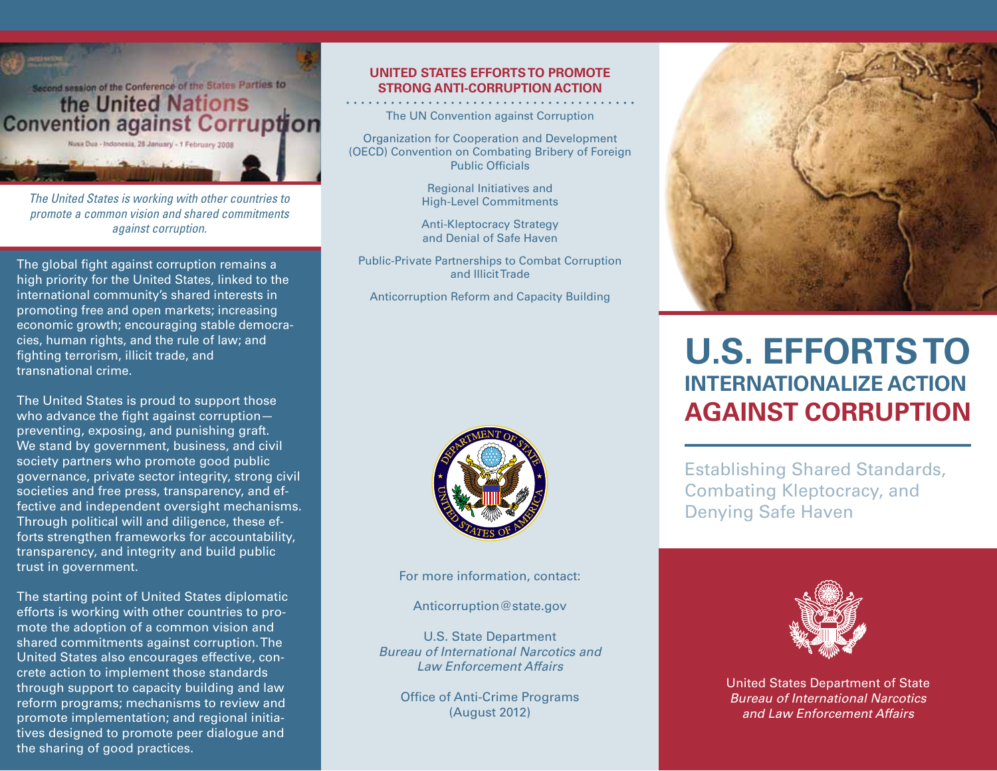

*The United States is working with other countries to promote a common vision and shared commitments against corruption.* 

The global fight against corruption remains a high priority for the United States, linked to the international community's shared interests in promoting free and open markets; increasing economic growth; encouraging stable democracies, human rights, and the rule of law; and fighting terrorism, illicit trade, and transnational crime.

The United States is proud to support those who advance the fight against corruptionpreventing, exposing, and punishing graft. We stand by government, business, and civil society partners who promote good public governance, private sector integrity, strong civil societies and free press, transparency, and effective and independent oversight mechanisms. Through political will and diligence, these efforts strengthen frameworks for accountability, transparency, and integrity and build public trust in government.

The starting point of United States diplomatic efforts is working with other countries to promote the adoption of a common vision and shared commitments against corruption. The United States also encourages effective, concrete action to implement those standards through support to capacity building and law reform programs; mechanisms to review and promote implementation; and regional initiatives designed to promote peer dialogue and the sharing of good practices.

#### **United States efforts to promote strong anti-corruption action**

The UN Convention against Corruption

Organization for Cooperation and Development (OECD) Convention on Combating Bribery of Foreign Public Officials

> Regional Initiatives and High-Level Commitments

> Anti-Kleptocracy Strategy and Denial of Safe Haven

Public-Private Partnerships to Combat Corruption and Illicit Trade

Anticorruption Reform and Capacity Building



For more information, contact:

Anticorruption@state.gov

U.S. State Department *Bureau of International Narcotics and Law Enforcement Affairs*

Office of Anti-Crime Programs (August 2012)



# **U.S. Efforts to Internationalize action Against Corruption**

Establishing Shared Standards, Combating Kleptocracy, and Denying Safe Haven



United States Department of State *Bureau of International Narcotics and Law Enforcement Affairs*